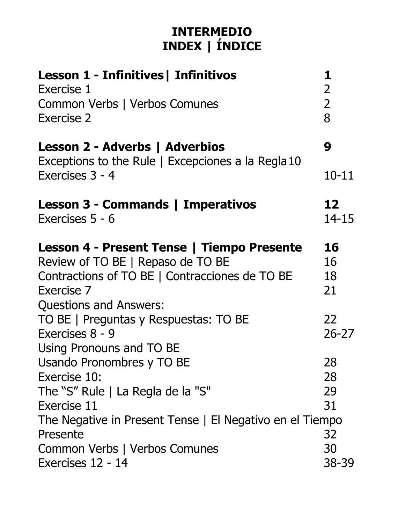## **INTERMEDIO INDEX | ÍNDICE**

| Lesson 1 - Infinitives   Infinitivos<br>Exercise 1<br>Common Verbs   Verbos Comunes<br>Exercise 2                                                                                | 1<br>$\overline{2}$<br>$\overline{2}$<br>8 |
|----------------------------------------------------------------------------------------------------------------------------------------------------------------------------------|--------------------------------------------|
| Lesson 2 - Adverbs   Adverbios                                                                                                                                                   | 9                                          |
| Exceptions to the Rule   Excepciones a la Regla 10<br>Exercises 3 - 4                                                                                                            | $10 - 11$                                  |
| Lesson 3 - Commands   Imperativos<br>Exercises 5 - 6                                                                                                                             | 12<br>$14 - 15$                            |
| Lesson 4 - Present Tense   Tiempo Presente<br>Review of TO BE   Repaso de TO BE<br>Contractions of TO BE   Contracciones de TO BE<br>Exercise 7<br><b>Questions and Answers:</b> | 16<br>16<br>18<br>21                       |
| TO BE   Preguntas y Respuestas: TO BE<br>Exercises 8 - 9<br>Using Pronouns and TO BE                                                                                             | 22<br>$26 - 27$                            |
| Usando Pronombres y TO BE<br>Exercise 10:<br>The "S" Rule   La Regla de la "S"<br>Exercise 11                                                                                    | 28<br>28<br>29<br>31                       |
| The Negative in Present Tense   El Negativo en el Tiempo<br>Presente<br>Common Verbs   Verbos Comunes<br>Exercises 12 - 14                                                       | 32<br>30<br>38-39                          |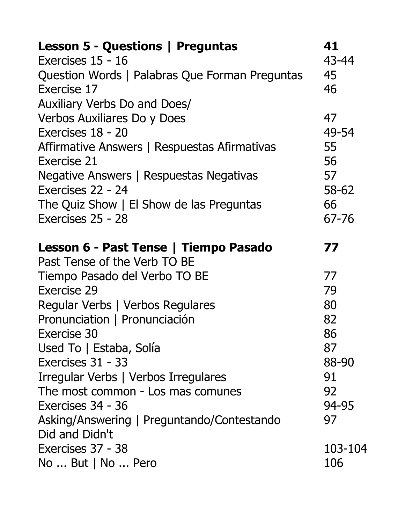| <b>Lesson 5 - Questions   Preguntas</b>        | 41             |
|------------------------------------------------|----------------|
| Exercises 15 - 16                              | 43-44          |
| Question Words   Palabras Que Forman Preguntas | 45             |
| Exercise 17                                    | 46             |
| Auxiliary Verbs Do and Does/                   |                |
| Verbos Auxiliares Do y Does                    | 47             |
| Exercises 18 - 20                              | 49-54          |
| Affirmative Answers   Respuestas Afirmativas   | 55             |
| Exercise 21                                    | 56             |
| Negative Answers   Respuestas Negativas        | 57             |
| Exercises 22 - 24                              | 58-62          |
| The Quiz Show   El Show de las Preguntas       | 66             |
| Exercises 25 - 28                              | 67-76          |
| Lesson 6 - Past Tense   Tiempo Pasado          | 77             |
|                                                |                |
| Past Tense of the Verb TO BE                   |                |
| Tiempo Pasado del Verbo TO BE                  | 77             |
| Exercise 29                                    | 79             |
| Regular Verbs   Verbos Regulares               | 80             |
| Pronunciation   Pronunciación                  | 82             |
| Exercise 30                                    | 86             |
| Used To   Estaba, Solía                        | 87             |
| Exercises 31 - 33                              | 88-90          |
| Irregular Verbs   Verbos Irregulares           | 91             |
| The most common - Los mas comunes              | 92             |
| Exercises 34 - 36                              | 94-95          |
| Asking/Answering   Preguntando/Contestando     | 97             |
| Did and Didn't                                 |                |
| Exercises 37 - 38<br>$No$ But $  No$ Pero      | 103-104<br>106 |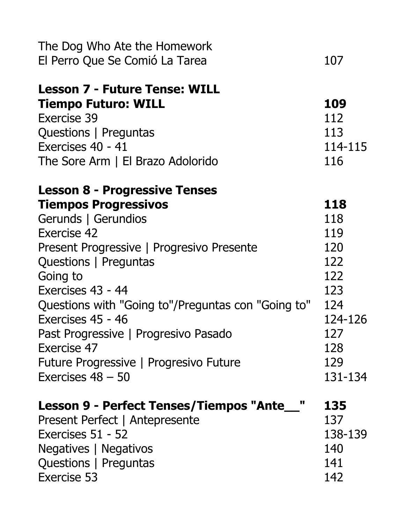| The Dog Who Ate the Homework<br>El Perro Que Se Comió La Tarea                                                                                                                                                                                                                                                                                                                                                      | 107                                                                                             |
|---------------------------------------------------------------------------------------------------------------------------------------------------------------------------------------------------------------------------------------------------------------------------------------------------------------------------------------------------------------------------------------------------------------------|-------------------------------------------------------------------------------------------------|
| <b>Lesson 7 - Future Tense: WILL</b><br><b>Tiempo Futuro: WILL</b><br>Exercise 39<br>Questions   Preguntas<br>Exercises 40 - 41<br>The Sore Arm   El Brazo Adolorido                                                                                                                                                                                                                                                | 109<br>112<br>113<br>114-115<br>116                                                             |
| <b>Lesson 8 - Progressive Tenses</b><br><b>Tiempos Progressivos</b><br>Gerunds   Gerundios<br>Exercise 42<br>Present Progressive   Progresivo Presente<br>Questions   Preguntas<br>Going to<br>Exercises 43 - 44<br>Questions with "Going to"/Preguntas con "Going to"<br>Exercises 45 - 46<br>Past Progressive   Progresivo Pasado<br>Exercise 47<br>Future Progressive   Progresivo Future<br>Exercises $48 - 50$ | 118<br>118<br>119<br>120<br>122<br>122<br>123<br>124<br>124-126<br>127<br>128<br>129<br>131-134 |
| Lesson 9 - Perfect Tenses/Tiempos "Ante__"<br>Present Perfect   Antepresente<br>Exercises 51 - 52<br>Negatives   Negativos<br>Questions   Preguntas<br>Exercise 53                                                                                                                                                                                                                                                  | 135<br>137<br>138-139<br>140<br>141<br>142                                                      |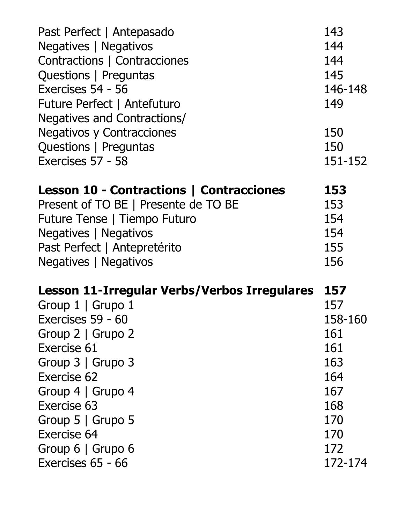| Past Perfect   Antepasado                       | 143     |
|-------------------------------------------------|---------|
| Negatives   Negativos                           | 144     |
| Contractions   Contracciones                    | 144     |
| Questions   Preguntas                           | 145     |
| Exercises 54 - 56                               | 146-148 |
| Future Perfect   Antefuturo                     | 149     |
| Negatives and Contractions/                     |         |
| <b>Negativos y Contracciones</b>                | 150     |
| Questions   Preguntas                           | 150     |
| Exercises 57 - 58                               | 151-152 |
| <b>Lesson 10 - Contractions   Contracciones</b> | 153     |
| Present of TO BE   Presente de TO BE            | 153     |
| Future Tense   Tiempo Futuro                    | 154     |
| Negatives   Negativos                           | 154     |
| Past Perfect   Antepretérito                    | 155     |
| Negatives   Negativos                           | 156     |
| Lesson 11-Irregular Verbs/Verbos Irregulares    | 157     |
| Group 1   Grupo 1                               | 157     |
| Exercises 59 - 60                               | 158-160 |
| Group 2   Grupo 2                               | 161     |
| Exercise 61                                     | 161     |
| Group $3 \mid$ Grupo 3                          | 163     |
| Exercise 62                                     | 164     |
| Group 4   Grupo 4                               | 167     |
| Exercise 63                                     | 168     |
| Group $5 \mid$ Grupo 5                          | 170     |
| <b>Exercise 64</b>                              | 170     |
| Group 6   Grupo 6                               | 172     |
| Exercises 65 - 66                               | 172-174 |